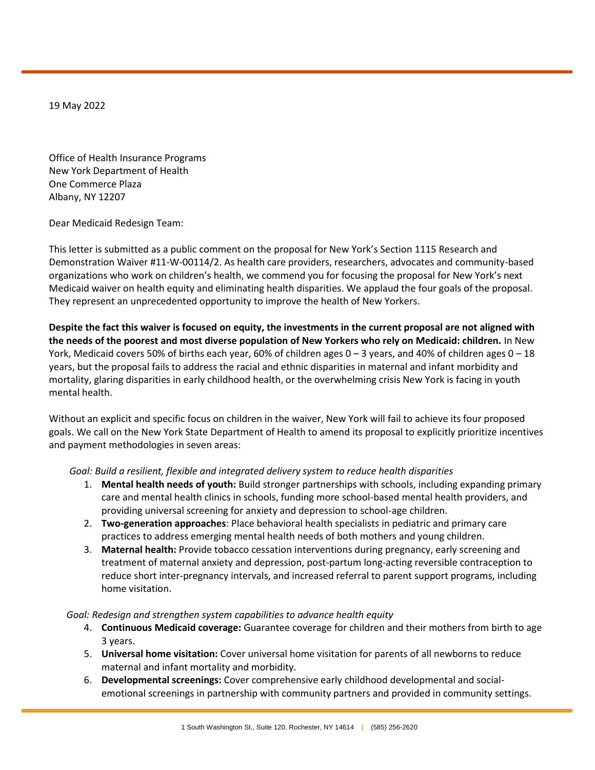19 May 2022

Office of Health Insurance Programs New York Department of Health One Commerce Plaza Albany, NY 12207

Dear Medicaid Redesign Team:

This letter is submitted as a public comment on the proposal for New York's Section 1115 Research and Demonstration Waiver #11-W-00114/2. As health care providers, researchers, advocates and community-based organizations who work on children's health, we commend you for focusing the proposal for New York's next Medicaid waiver on health equity and eliminating health disparities. We applaud the four goals of the proposal. They represent an unprecedented opportunity to improve the health of New Yorkers.

**Despite the fact this waiver is focused on equity, the investments in the current proposal are not aligned with the needs of the poorest and most diverse population of New Yorkers who rely on Medicaid: children.** In New York, Medicaid covers 50% of births each year, 60% of children ages  $0-3$  years, and 40% of children ages  $0-18$ years, but the proposal fails to address the racial and ethnic disparities in maternal and infant morbidity and mortality, glaring disparities in early childhood health, or the overwhelming crisis New York is facing in youth mental health.

Without an explicit and specific focus on children in the waiver, New York will fail to achieve its four proposed goals. We call on the New York State Department of Health to amend its proposal to explicitly prioritize incentives and payment methodologies in seven areas:

*Goal: Build a resilient, flexible and integrated delivery system to reduce health disparities*

- 1. **Mental health needs of youth:** Build stronger partnerships with schools, including expanding primary care and mental health clinics in schools, funding more school-based mental health providers, and providing universal screening for anxiety and depression to school-age children.
- 2. **Two-generation approaches**: Place behavioral health specialists in pediatric and primary care practices to address emerging mental health needs of both mothers and young children.
- 3. **Maternal health:** Provide tobacco cessation interventions during pregnancy, early screening and treatment of maternal anxiety and depression, post-partum long-acting reversible contraception to reduce short inter-pregnancy intervals, and increased referral to parent support programs, including home visitation.

## *Goal: Redesign and strengthen system capabilities to advance health equity*

- 4. **Continuous Medicaid coverage:** Guarantee coverage for children and their mothers from birth to age 3 years.
- 5. **Universal home visitation:** Cover universal home visitation for parents of all newborns to reduce maternal and infant mortality and morbidity.
- 6. **Developmental screenings:** Cover comprehensive early childhood developmental and socialemotional screenings in partnership with community partners and provided in community settings.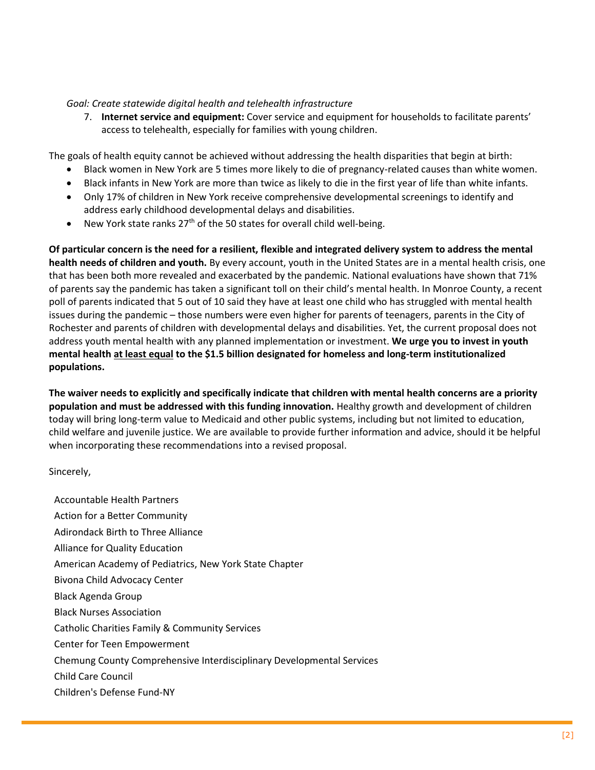## *Goal: Create statewide digital health and telehealth infrastructure*

7. **Internet service and equipment:** Cover service and equipment for households to facilitate parents' access to telehealth, especially for families with young children.

The goals of health equity cannot be achieved without addressing the health disparities that begin at birth:

- Black women in New York are 5 times more likely to die of pregnancy-related causes than white women.
- Black infants in New York are more than twice as likely to die in the first year of life than white infants.
- Only 17% of children in New York receive comprehensive developmental screenings to identify and address early childhood developmental delays and disabilities.
- New York state ranks  $27<sup>th</sup>$  of the 50 states for overall child well-being.

**Of particular concern is the need for a resilient, flexible and integrated delivery system to address the mental health needs of children and youth.** By every account, youth in the United States are in a mental health crisis, one that has been both more revealed and exacerbated by the pandemic. National evaluations have shown that 71% of parents say the pandemic has taken a significant toll on their child's mental health. In Monroe County, a recent poll of parents indicated that 5 out of 10 said they have at least one child who has struggled with mental health issues during the pandemic – those numbers were even higher for parents of teenagers, parents in the City of Rochester and parents of children with developmental delays and disabilities. Yet, the current proposal does not address youth mental health with any planned implementation or investment. **We urge you to invest in youth mental health at least equal to the \$1.5 billion designated for homeless and long-term institutionalized populations.**

**The waiver needs to explicitly and specifically indicate that children with mental health concerns are a priority population and must be addressed with this funding innovation.** Healthy growth and development of children today will bring long-term value to Medicaid and other public systems, including but not limited to education, child welfare and juvenile justice. We are available to provide further information and advice, should it be helpful when incorporating these recommendations into a revised proposal.

## Sincerely,

Accountable Health Partners Action for a Better Community Adirondack Birth to Three Alliance Alliance for Quality Education American Academy of Pediatrics, New York State Chapter Bivona Child Advocacy Center Black Agenda Group Black Nurses Association Catholic Charities Family & Community Services Center for Teen Empowerment Chemung County Comprehensive Interdisciplinary Developmental Services Child Care Council Children's Defense Fund-NY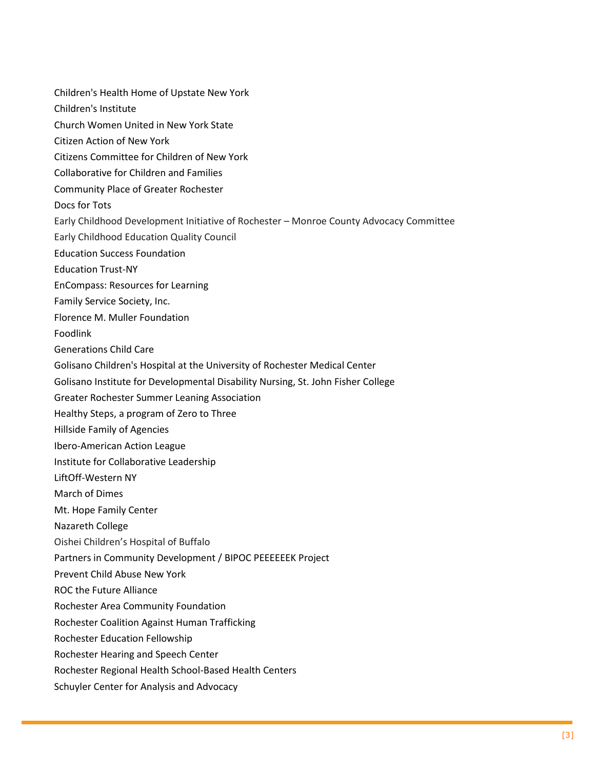Children's Health Home of Upstate New York Children's Institute Church Women United in New York State Citizen Action of New York Citizens Committee for Children of New York Collaborative for Children and Families Community Place of Greater Rochester Docs for Tots Early Childhood Development Initiative of Rochester – Monroe County Advocacy Committee Early Childhood Education Quality Council Education Success Foundation Education Trust-NY EnCompass: Resources for Learning Family Service Society, Inc. Florence M. Muller Foundation Foodlink Generations Child Care Golisano Children's Hospital at the University of Rochester Medical Center Golisano Institute for Developmental Disability Nursing, St. John Fisher College Greater Rochester Summer Leaning Association Healthy Steps, a program of Zero to Three Hillside Family of Agencies Ibero-American Action League Institute for Collaborative Leadership LiftOff-Western NY March of Dimes Mt. Hope Family Center Nazareth College Oishei Children's Hospital of Buffalo Partners in Community Development / BIPOC PEEEEEEK Project Prevent Child Abuse New York ROC the Future Alliance Rochester Area Community Foundation Rochester Coalition Against Human Trafficking Rochester Education Fellowship Rochester Hearing and Speech Center Rochester Regional Health School-Based Health Centers Schuyler Center for Analysis and Advocacy